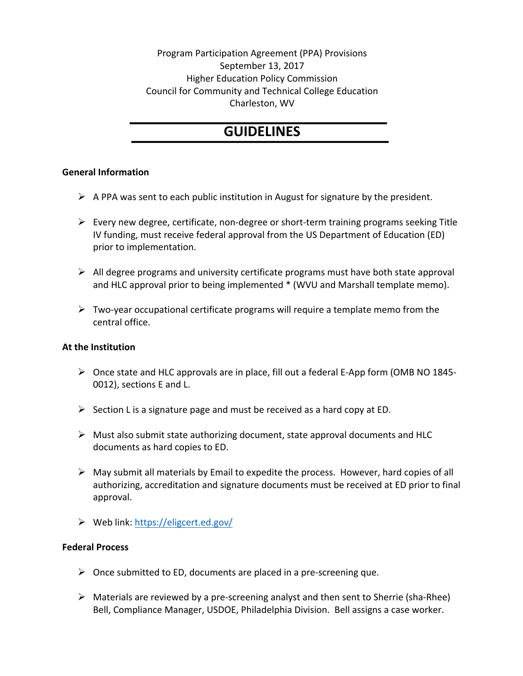Program Participation Agreement (PPA) Provisions September 13, 2017 Higher Education Policy Commission Council for Community and Technical College Education Charleston, WV

# **GUIDELINES**

## **General Information**

- $\triangleright$  A PPA was sent to each public institution in August for signature by the president.
- $\triangleright$  Every new degree, certificate, non-degree or short-term training programs seeking Title IV funding, must receive federal approval from the US Department of Education (ED) prior to implementation.
- $\triangleright$  All degree programs and university certificate programs must have both state approval and HLC approval prior to being implemented \* (WVU and Marshall template memo).
- $\triangleright$  Two-year occupational certificate programs will require a template memo from the central office.

### **At the Institution**

- $\triangleright$  Once state and HLC approvals are in place, fill out a federal E-App form (OMB NO 1845-0012), sections E and L.
- $\triangleright$  Section L is a signature page and must be received as a hard copy at ED.
- $\triangleright$  Must also submit state authorizing document, state approval documents and HLC documents as hard copies to ED.
- $\triangleright$  May submit all materials by Email to expedite the process. However, hard copies of all authorizing, accreditation and signature documents must be received at ED prior to final approval.
- $\triangleright$  Web link: https://eligcert.ed.gov/

### **Federal Process**

- $\triangleright$  Once submitted to ED, documents are placed in a pre-screening que.
- $\triangleright$  Materials are reviewed by a pre-screening analyst and then sent to Sherrie (sha-Rhee) Bell, Compliance Manager, USDOE, Philadelphia Division. Bell assigns a case worker.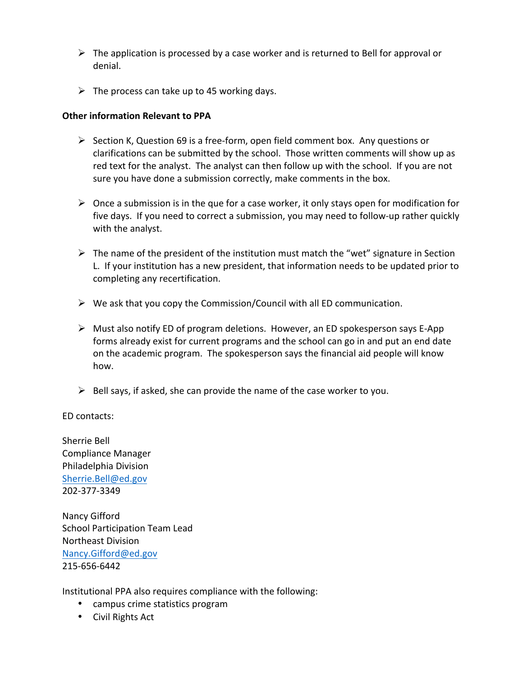- $\triangleright$  The application is processed by a case worker and is returned to Bell for approval or denial.
- $\triangleright$  The process can take up to 45 working days.

### **Other information Relevant to PPA**

- $\triangleright$  Section K, Question 69 is a free-form, open field comment box. Any questions or clarifications can be submitted by the school. Those written comments will show up as red text for the analyst. The analyst can then follow up with the school. If you are not sure you have done a submission correctly, make comments in the box.
- $\triangleright$  Once a submission is in the que for a case worker, it only stays open for modification for five days. If you need to correct a submission, you may need to follow-up rather quickly with the analyst.
- $\triangleright$  The name of the president of the institution must match the "wet" signature in Section L. If your institution has a new president, that information needs to be updated prior to completing any recertification.
- $\triangleright$  We ask that you copy the Commission/Council with all ED communication.
- $\triangleright$  Must also notify ED of program deletions. However, an ED spokesperson says E-App forms already exist for current programs and the school can go in and put an end date on the academic program. The spokesperson says the financial aid people will know how.
- $\triangleright$  Bell says, if asked, she can provide the name of the case worker to you.

ED contacts:

Sherrie Bell Compliance Manager Philadelphia Division Sherrie.Bell@ed.gov 202-377-3349

Nancy Gifford School Participation Team Lead Northeast Division Nancy.Gifford@ed.gov 215-656-6442

Institutional PPA also requires compliance with the following:

- campus crime statistics program
- Civil Rights Act